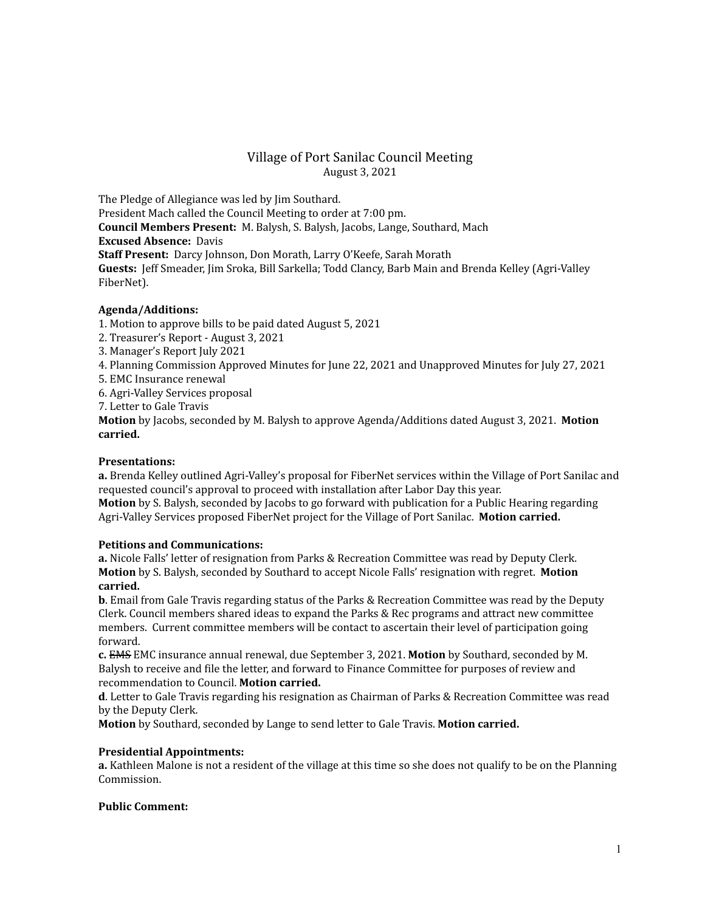# Village of Port Sanilac Council Meeting August 3, 2021

The Pledge of Allegiance was led by Jim Southard. President Mach called the Council Meeting to order at 7:00 pm. **Council Members Present:** M. Balysh, S. Balysh, Jacobs, Lange, Southard, Mach **Excused Absence:** Davis **Staff Present:** Darcy Johnson, Don Morath, Larry O'Keefe, Sarah Morath **Guests:** Jeff Smeader, Jim Sroka, Bill Sarkella; Todd Clancy, Barb Main and Brenda Kelley (Agri-Valley FiberNet).

# **Agenda/Additions:**

1. Motion to approve bills to be paid dated August 5, 2021

- 2. Treasurer's Report August 3, 2021
- 3. Manager's Report July 2021
- 4. Planning Commission Approved Minutes for June 22, 2021 and Unapproved Minutes for July 27, 2021
- 5. EMC Insurance renewal
- 6. Agri-Valley Services proposal
- 7. Letter to Gale Travis

**Motion** by Jacobs, seconded by M. Balysh to approve Agenda/Additions dated August 3, 2021. **Motion carried.**

## **Presentations:**

**a.** Brenda Kelley outlined Agri-Valley's proposal for FiberNet services within the Village of Port Sanilac and requested council's approval to proceed with installation after Labor Day this year.

**Motion** by S. Balysh, seconded by Jacobs to go forward with publication for a Public Hearing regarding Agri-Valley Services proposed FiberNet project for the Village of Port Sanilac. **Motion carried.**

### **Petitions and Communications:**

**a.** Nicole Falls' letter of resignation from Parks & Recreation Committee was read by Deputy Clerk. **Motion** by S. Balysh, seconded by Southard to accept Nicole Falls' resignation with regret. **Motion carried.**

**b**. Email from Gale Travis regarding status of the Parks & Recreation Committee was read by the Deputy Clerk. Council members shared ideas to expand the Parks & Rec programs and attract new committee members. Current committee members will be contact to ascertain their level of participation going forward.

**c.** EMS EMC insurance annual renewal, due September 3, 2021. **Motion** by Southard, seconded by M. Balysh to receive and file the letter, and forward to Finance Committee for purposes of review and recommendation to Council. **Motion carried.**

**d**. Letter to Gale Travis regarding his resignation as Chairman of Parks & Recreation Committee was read by the Deputy Clerk.

**Motion** by Southard, seconded by Lange to send letter to Gale Travis. **Motion carried.**

### **Presidential Appointments:**

**a.** Kathleen Malone is not a resident of the village at this time so she does not qualify to be on the Planning Commission.

### **Public Comment:**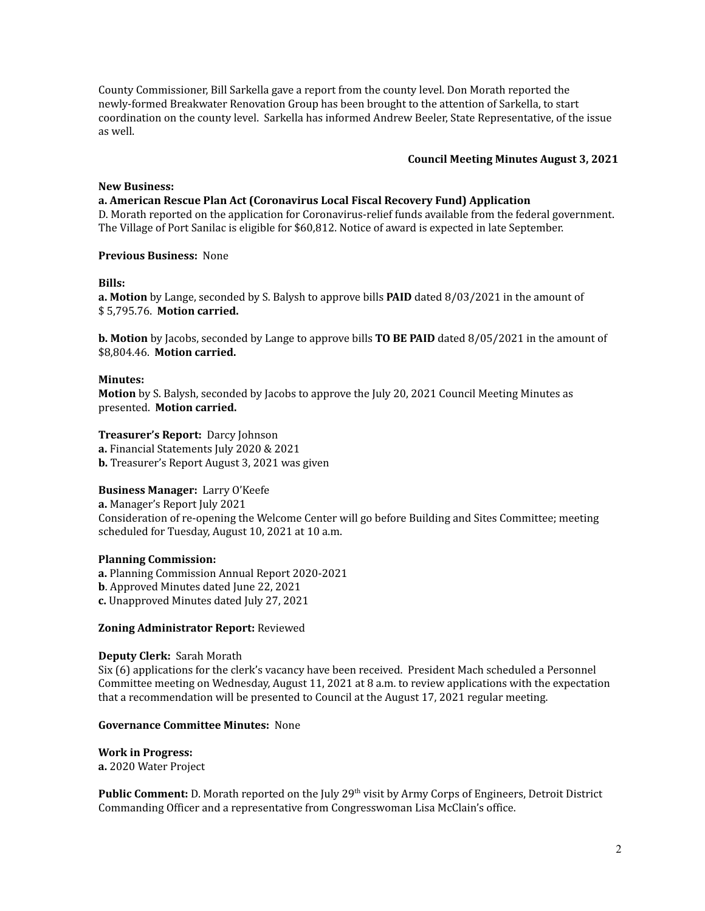County Commissioner, Bill Sarkella gave a report from the county level. Don Morath reported the newly-formed Breakwater Renovation Group has been brought to the attention of Sarkella, to start coordination on the county level. Sarkella has informed Andrew Beeler, State Representative, of the issue as well.

### **Council Meeting Minutes August 3, 2021**

### **New Business:**

**a. American Rescue Plan Act (Coronavirus Local Fiscal Recovery Fund) Application** D. Morath reported on the application for Coronavirus-relief funds available from the federal government.

The Village of Port Sanilac is eligible for \$60,812. Notice of award is expected in late September.

#### **Previous Business:** None

#### **Bills:**

**a. Motion** by Lange, seconded by S. Balysh to approve bills **PAID** dated 8/03/2021 in the amount of \$ 5,795.76. **Motion carried.**

**b. Motion** by Jacobs, seconded by Lange to approve bills **TO BE PAID** dated 8/05/2021 in the amount of \$8,804.46. **Motion carried.**

### **Minutes:**

**Motion** by S. Balysh, seconded by Jacobs to approve the July 20, 2021 Council Meeting Minutes as presented. **Motion carried.**

#### **Treasurer's Report:** Darcy Johnson

**a.** Financial Statements July 2020 & 2021

**b.** Treasurer's Report August 3, 2021 was given

### **Business Manager:** Larry O'Keefe

**a.** Manager's Report July 2021 Consideration of re-opening the Welcome Center will go before Building and Sites Committee; meeting scheduled for Tuesday, August 10, 2021 at 10 a.m.

### **Planning Commission:**

**a.** Planning Commission Annual Report 2020-2021 **b**. Approved Minutes dated June 22, 2021

**c.** Unapproved Minutes dated July 27, 2021

### **Zoning Administrator Report:** Reviewed

### **Deputy Clerk:** Sarah Morath

Six (6) applications for the clerk's vacancy have been received. President Mach scheduled a Personnel Committee meeting on Wednesday, August 11, 2021 at 8 a.m. to review applications with the expectation that a recommendation will be presented to Council at the August 17, 2021 regular meeting.

#### **Governance Committee Minutes:** None

# **Work in Progress:**

**a.** 2020 Water Project

Public Comment: D. Morath reported on the July 29<sup>th</sup> visit by Army Corps of Engineers, Detroit District Commanding Officer and a representative from Congresswoman Lisa McClain's office.